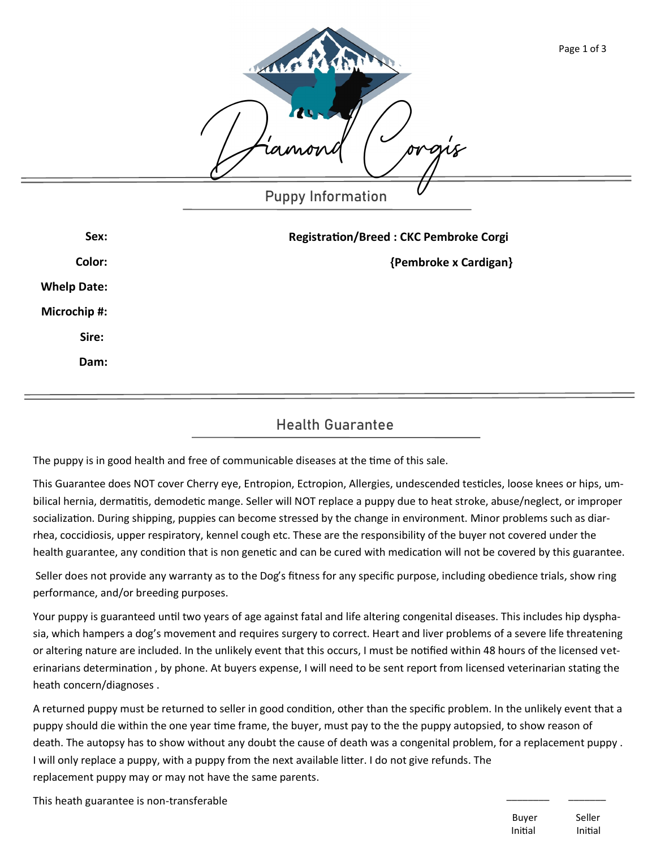|                    | MARIT<br>14<br>rac                            | Page 1 of 3 |
|--------------------|-----------------------------------------------|-------------|
|                    | <b>Puppy Information</b>                      |             |
| Sex:               | <b>Registration/Breed: CKC Pembroke Corgi</b> |             |
| Color:             | {Pembroke x Cardigan}                         |             |
| <b>Whelp Date:</b> |                                               |             |
| Microchip #:       |                                               |             |
| Sire:              |                                               |             |
| Dam:               |                                               |             |

## **Health Guarantee**

The puppy is in good health and free of communicable diseases at the time of this sale.

This Guarantee does NOT cover Cherry eye, Entropion, Ectropion, Allergies, undescended testicles, loose knees or hips, umbilical hernia, dermatitis, demodetic mange. Seller will NOT replace a puppy due to heat stroke, abuse/neglect, or improper socialization. During shipping, puppies can become stressed by the change in environment. Minor problems such as diarrhea, coccidiosis, upper respiratory, kennel cough etc. These are the responsibility of the buyer not covered under the health guarantee, any condition that is non genetic and can be cured with medication will not be covered by this guarantee.

Seller does not provide any warranty as to the Dog's fitness for any specific purpose, including obedience trials, show ring performance, and/or breeding purposes.

Your puppy is guaranteed until two years of age against fatal and life altering congenital diseases. This includes hip dysphasia, which hampers a dog's movement and requires surgery to correct. Heart and liver problems of a severe life threatening or altering nature are included. In the unlikely event that this occurs, I must be notified within 48 hours of the licensed veterinarians determination , by phone. At buyers expense, I will need to be sent report from licensed veterinarian stating the heath concern/diagnoses .

A returned puppy must be returned to seller in good condition, other than the specific problem. In the unlikely event that a puppy should die within the one year time frame, the buyer, must pay to the the puppy autopsied, to show reason of death. The autopsy has to show without any doubt the cause of death was a congenital problem, for a replacement puppy . I will only replace a puppy, with a puppy from the next available litter. I do not give refunds. The replacement puppy may or may not have the same parents.

This heath guarantee is non-transferable

Buyer Seller Initial Initial

\_\_\_\_\_\_\_\_ \_\_\_\_\_\_\_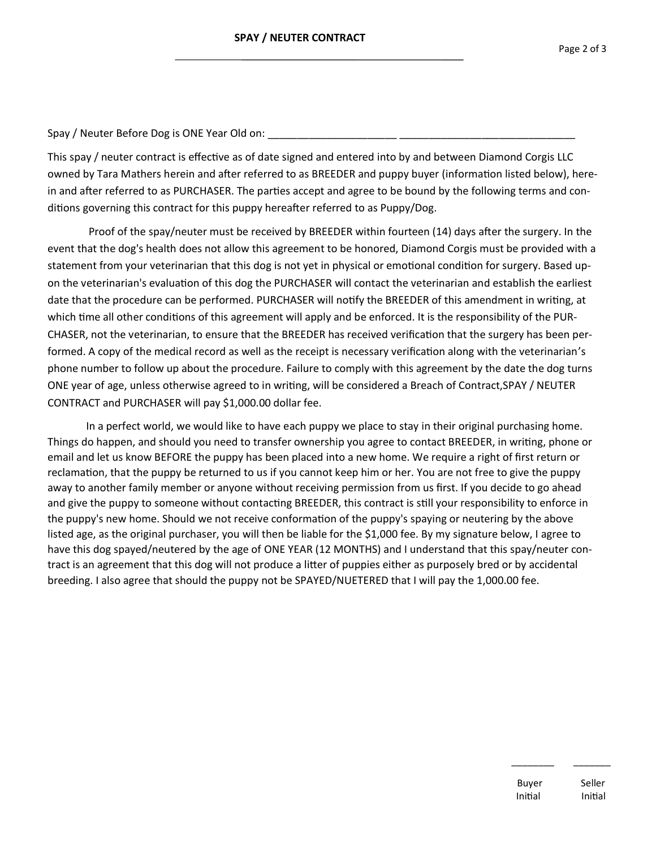Spay / Neuter Before Dog is ONE Year Old on:

This spay / neuter contract is effective as of date signed and entered into by and between Diamond Corgis LLC owned by Tara Mathers herein and after referred to as BREEDER and puppy buyer (information listed below), herein and after referred to as PURCHASER. The parties accept and agree to be bound by the following terms and conditions governing this contract for this puppy hereafter referred to as Puppy/Dog.

Proof of the spay/neuter must be received by BREEDER within fourteen (14) days after the surgery. In the event that the dog's health does not allow this agreement to be honored, Diamond Corgis must be provided with a statement from your veterinarian that this dog is not yet in physical or emotional condition for surgery. Based upon the veterinarian's evaluation of this dog the PURCHASER will contact the veterinarian and establish the earliest date that the procedure can be performed. PURCHASER will notify the BREEDER of this amendment in writing, at which time all other conditions of this agreement will apply and be enforced. It is the responsibility of the PUR-CHASER, not the veterinarian, to ensure that the BREEDER has received verification that the surgery has been performed. A copy of the medical record as well as the receipt is necessary verification along with the veterinarian's phone number to follow up about the procedure. Failure to comply with this agreement by the date the dog turns ONE year of age, unless otherwise agreed to in writing, will be considered a Breach of Contract,SPAY / NEUTER CONTRACT and PURCHASER will pay \$1,000.00 dollar fee.

In a perfect world, we would like to have each puppy we place to stay in their original purchasing home. Things do happen, and should you need to transfer ownership you agree to contact BREEDER, in writing, phone or email and let us know BEFORE the puppy has been placed into a new home. We require a right of first return or reclamation, that the puppy be returned to us if you cannot keep him or her. You are not free to give the puppy away to another family member or anyone without receiving permission from us first. If you decide to go ahead and give the puppy to someone without contacting BREEDER, this contract is still your responsibility to enforce in the puppy's new home. Should we not receive conformation of the puppy's spaying or neutering by the above listed age, as the original purchaser, you will then be liable for the \$1,000 fee. By my signature below, I agree to have this dog spayed/neutered by the age of ONE YEAR (12 MONTHS) and I understand that this spay/neuter contract is an agreement that this dog will not produce a litter of puppies either as purposely bred or by accidental breeding. I also agree that should the puppy not be SPAYED/NUETERED that I will pay the 1,000.00 fee.

\_\_\_\_\_\_\_\_ \_\_\_\_\_\_\_